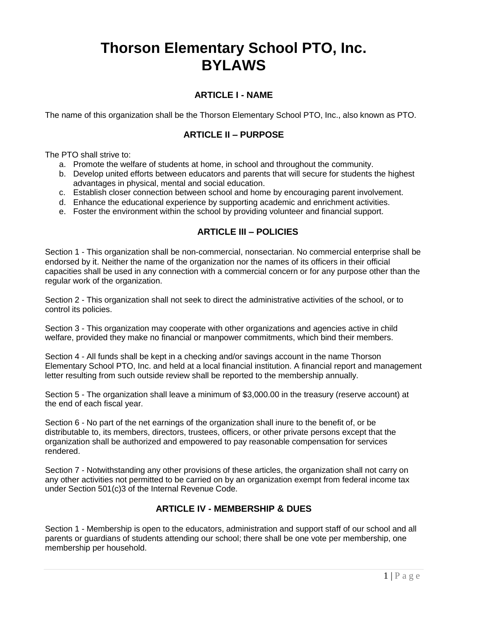# **Thorson Elementary School PTO, Inc. BYLAWS**

## **ARTICLE I - NAME**

The name of this organization shall be the Thorson Elementary School PTO, Inc., also known as PTO.

## **ARTICLE II – PURPOSE**

The PTO shall strive to:

- a. Promote the welfare of students at home, in school and throughout the community.
- b. Develop united efforts between educators and parents that will secure for students the highest advantages in physical, mental and social education.
- c. Establish closer connection between school and home by encouraging parent involvement.
- d. Enhance the educational experience by supporting academic and enrichment activities.
- e. Foster the environment within the school by providing volunteer and financial support.

#### **ARTICLE III – POLICIES**

Section 1 - This organization shall be non-commercial, nonsectarian. No commercial enterprise shall be endorsed by it. Neither the name of the organization nor the names of its officers in their official capacities shall be used in any connection with a commercial concern or for any purpose other than the regular work of the organization.

Section 2 - This organization shall not seek to direct the administrative activities of the school, or to control its policies.

Section 3 - This organization may cooperate with other organizations and agencies active in child welfare, provided they make no financial or manpower commitments, which bind their members.

Section 4 - All funds shall be kept in a checking and/or savings account in the name Thorson Elementary School PTO, Inc. and held at a local financial institution. A financial report and management letter resulting from such outside review shall be reported to the membership annually.

Section 5 - The organization shall leave a minimum of \$3,000.00 in the treasury (reserve account) at the end of each fiscal year.

Section 6 - No part of the net earnings of the organization shall inure to the benefit of, or be distributable to, its members, directors, trustees, officers, or other private persons except that the organization shall be authorized and empowered to pay reasonable compensation for services rendered.

Section 7 - Notwithstanding any other provisions of these articles, the organization shall not carry on any other activities not permitted to be carried on by an organization exempt from federal income tax under Section 501(c)3 of the Internal Revenue Code.

#### **ARTICLE IV - MEMBERSHIP & DUES**

Section 1 - Membership is open to the educators, administration and support staff of our school and all parents or guardians of students attending our school; there shall be one vote per membership, one membership per household.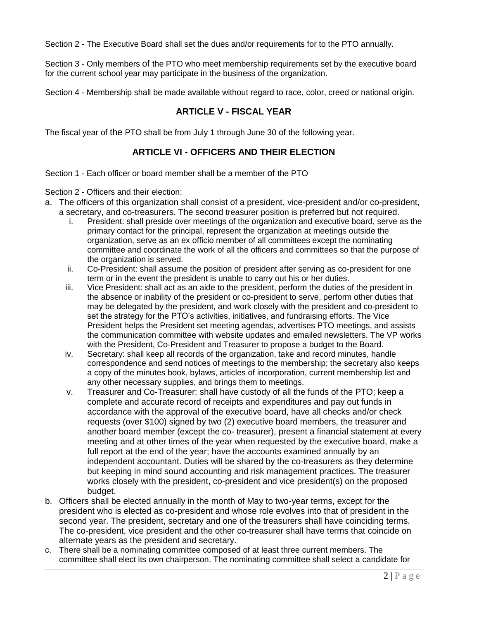Section 2 - The Executive Board shall set the dues and/or requirements for to the PTO annually.

Section 3 - Only members of the PTO who meet membership requirements set by the executive board for the current school year may participate in the business of the organization.

Section 4 - Membership shall be made available without regard to race, color, creed or national origin.

## **ARTICLE V - FISCAL YEAR**

The fiscal year of the PTO shall be from July 1 through June 30 of the following year.

#### **ARTICLE VI - OFFICERS AND THEIR ELECTION**

Section 1 - Each officer or board member shall be a member of the PTO

Section 2 - Officers and their election:

- a. The officers of this organization shall consist of a president, vice-president and/or co-president, a secretary, and co-treasurers. The second treasurer position is preferred but not required.
	- i. President: shall preside over meetings of the organization and executive board, serve as the primary contact for the principal, represent the organization at meetings outside the organization, serve as an ex officio member of all committees except the nominating committee and coordinate the work of all the officers and committees so that the purpose of the organization is served.
	- ii. Co-President: shall assume the position of president after serving as co-president for one term or in the event the president is unable to carry out his or her duties.
	- iii. Vice President: shall act as an aide to the president, perform the duties of the president in the absence or inability of the president or co-president to serve, perform other duties that may be delegated by the president, and work closely with the president and co-president to set the strategy for the PTO's activities, initiatives, and fundraising efforts. The Vice President helps the President set meeting agendas, advertises PTO meetings, and assists the communication committee with website updates and emailed newsletters. The VP works with the President, Co-President and Treasurer to propose a budget to the Board.
	- iv. Secretary: shall keep all records of the organization, take and record minutes, handle correspondence and send notices of meetings to the membership; the secretary also keeps a copy of the minutes book, bylaws, articles of incorporation, current membership list and any other necessary supplies, and brings them to meetings.
	- v. Treasurer and Co-Treasurer: shall have custody of all the funds of the PTO; keep a complete and accurate record of receipts and expenditures and pay out funds in accordance with the approval of the executive board, have all checks and/or check requests (over \$100) signed by two (2) executive board members, the treasurer and another board member (except the co- treasurer), present a financial statement at every meeting and at other times of the year when requested by the executive board, make a full report at the end of the year; have the accounts examined annually by an independent accountant. Duties will be shared by the co-treasurers as they determine but keeping in mind sound accounting and risk management practices. The treasurer works closely with the president, co-president and vice president(s) on the proposed budget.
- b. Officers shall be elected annually in the month of May to two-year terms, except for the president who is elected as co-president and whose role evolves into that of president in the second year. The president, secretary and one of the treasurers shall have coinciding terms. The co-president, vice president and the other co-treasurer shall have terms that coincide on alternate years as the president and secretary.
- c. There shall be a nominating committee composed of at least three current members. The committee shall elect its own chairperson. The nominating committee shall select a candidate for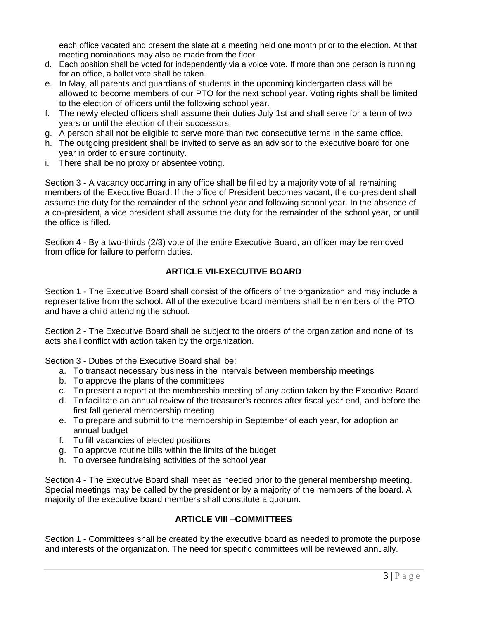each office vacated and present the slate at a meeting held one month prior to the election. At that meeting nominations may also be made from the floor.

- d. Each position shall be voted for independently via a voice vote. If more than one person is running for an office, a ballot vote shall be taken.
- e. In May, all parents and guardians of students in the upcoming kindergarten class will be allowed to become members of our PTO for the next school year. Voting rights shall be limited to the election of officers until the following school year.
- f. The newly elected officers shall assume their duties July 1st and shall serve for a term of two years or until the election of their successors.
- g. A person shall not be eligible to serve more than two consecutive terms in the same office.
- h. The outgoing president shall be invited to serve as an advisor to the executive board for one year in order to ensure continuity.
- i. There shall be no proxy or absentee voting.

Section 3 - A vacancy occurring in any office shall be filled by a majority vote of all remaining members of the Executive Board. If the office of President becomes vacant, the co-president shall assume the duty for the remainder of the school year and following school year. In the absence of a co-president, a vice president shall assume the duty for the remainder of the school year, or until the office is filled.

Section 4 - By a two-thirds (2/3) vote of the entire Executive Board, an officer may be removed from office for failure to perform duties.

## **ARTICLE VII-EXECUTIVE BOARD**

Section 1 - The Executive Board shall consist of the officers of the organization and may include a representative from the school. All of the executive board members shall be members of the PTO and have a child attending the school.

Section 2 - The Executive Board shall be subject to the orders of the organization and none of its acts shall conflict with action taken by the organization.

Section 3 - Duties of the Executive Board shall be:

- a. To transact necessary business in the intervals between membership meetings
- b. To approve the plans of the committees
- c. To present a report at the membership meeting of any action taken by the Executive Board
- d. To facilitate an annual review of the treasurer's records after fiscal year end, and before the first fall general membership meeting
- e. To prepare and submit to the membership in September of each year, for adoption an annual budget
- f. To fill vacancies of elected positions
- g. To approve routine bills within the limits of the budget
- h. To oversee fundraising activities of the school year

Section 4 - The Executive Board shall meet as needed prior to the general membership meeting. Special meetings may be called by the president or by a majority of the members of the board. A majority of the executive board members shall constitute a quorum.

## **ARTICLE VIII –COMMITTEES**

Section 1 - Committees shall be created by the executive board as needed to promote the purpose and interests of the organization. The need for specific committees will be reviewed annually.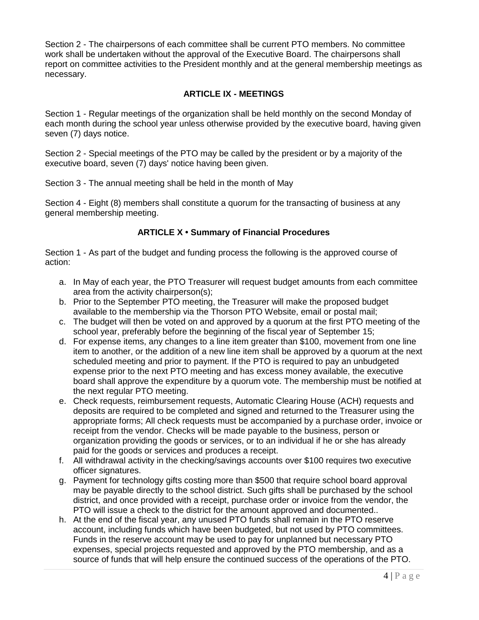Section 2 - The chairpersons of each committee shall be current PTO members. No committee work shall be undertaken without the approval of the Executive Board. The chairpersons shall report on committee activities to the President monthly and at the general membership meetings as necessary.

## **ARTICLE IX - MEETINGS**

Section 1 - Regular meetings of the organization shall be held monthly on the second Monday of each month during the school year unless otherwise provided by the executive board, having given seven (7) days notice.

Section 2 - Special meetings of the PTO may be called by the president or by a majority of the executive board, seven (7) days' notice having been given.

Section 3 - The annual meeting shall be held in the month of May

Section 4 - Eight (8) members shall constitute a quorum for the transacting of business at any general membership meeting.

## **ARTICLE X • Summary of Financial Procedures**

Section 1 - As part of the budget and funding process the following is the approved course of action:

- a. In May of each year, the PTO Treasurer will request budget amounts from each committee area from the activity chairperson(s);
- b. Prior to the September PTO meeting, the Treasurer will make the proposed budget available to the membership via the Thorson PTO Website, email or postal mail;
- c. The budget will then be voted on and approved by a quorum at the first PTO meeting of the school year, preferably before the beginning of the fiscal year of September 15;
- d. For expense items, any changes to a line item greater than \$100, movement from one line item to another, or the addition of a new line item shall be approved by a quorum at the next scheduled meeting and prior to payment. If the PTO is required to pay an unbudgeted expense prior to the next PTO meeting and has excess money available, the executive board shall approve the expenditure by a quorum vote. The membership must be notified at the next regular PTO meeting.
- e. Check requests, reimbursement requests, Automatic Clearing House (ACH) requests and deposits are required to be completed and signed and returned to the Treasurer using the appropriate forms; All check requests must be accompanied by a purchase order, invoice or receipt from the vendor. Checks will be made payable to the business, person or organization providing the goods or services, or to an individual if he or she has already paid for the goods or services and produces a receipt.
- f. All withdrawal activity in the checking/savings accounts over \$100 requires two executive officer signatures.
- g. Payment for technology gifts costing more than \$500 that require school board approval may be payable directly to the school district. Such gifts shall be purchased by the school district, and once provided with a receipt, purchase order or invoice from the vendor, the PTO will issue a check to the district for the amount approved and documented..
- h. At the end of the fiscal year, any unused PTO funds shall remain in the PTO reserve account, including funds which have been budgeted, but not used by PTO committees. Funds in the reserve account may be used to pay for unplanned but necessary PTO expenses, special projects requested and approved by the PTO membership, and as a source of funds that will help ensure the continued success of the operations of the PTO.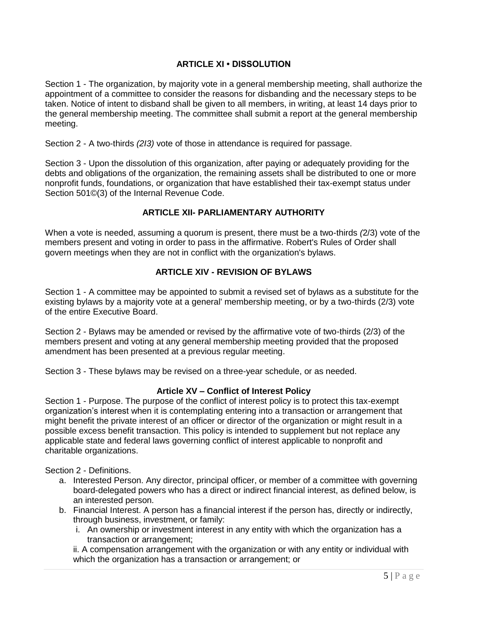## **ARTICLE XI • DISSOLUTION**

Section 1 - The organization, by majority vote in a general membership meeting, shall authorize the appointment of a committee to consider the reasons for disbanding and the necessary steps to be taken. Notice of intent to disband shall be given to all members, in writing, at least 14 days prior to the general membership meeting. The committee shall submit a report at the general membership meeting.

Section 2 - A two-thirds *(2I3)* vote of those in attendance is required for passage.

Section 3 - Upon the dissolution of this organization, after paying or adequately providing for the debts and obligations of the organization, the remaining assets shall be distributed to one or more nonprofit funds, foundations, or organization that have established their tax-exempt status under Section 501©(3) of the Internal Revenue Code.

#### **ARTICLE XII- PARLIAMENTARY AUTHORITY**

When a vote is needed, assuming a quorum is present, there must be a two-thirds *(*2/3) vote of the members present and voting in order to pass in the affirmative. Robert's Rules of Order shall govern meetings when they are not in conflict with the organization's bylaws.

#### **ARTICLE XIV - REVISION OF BYLAWS**

Section 1 - A committee may be appointed to submit a revised set of bylaws as a substitute for the existing bylaws by a majority vote at a general' membership meeting, or by a two-thirds (2/3) vote of the entire Executive Board.

Section 2 - Bylaws may be amended or revised by the affirmative vote of two-thirds (2/3) of the members present and voting at any general membership meeting provided that the proposed amendment has been presented at a previous regular meeting.

Section 3 - These bylaws may be revised on a three-year schedule, or as needed.

#### **Article XV – Conflict of Interest Policy**

Section 1 - Purpose. The purpose of the conflict of interest policy is to protect this tax-exempt organization's interest when it is contemplating entering into a transaction or arrangement that might benefit the private interest of an officer or director of the organization or might result in a possible excess benefit transaction. This policy is intended to supplement but not replace any applicable state and federal laws governing conflict of interest applicable to nonprofit and charitable organizations.

Section 2 - Definitions.

- a. Interested Person. Any director, principal officer, or member of a committee with governing board-delegated powers who has a direct or indirect financial interest, as defined below, is an interested person.
- b. Financial Interest. A person has a financial interest if the person has, directly or indirectly, through business, investment, or family:
	- i. An ownership or investment interest in any entity with which the organization has a transaction or arrangement;

ii. A compensation arrangement with the organization or with any entity or individual with which the organization has a transaction or arrangement; or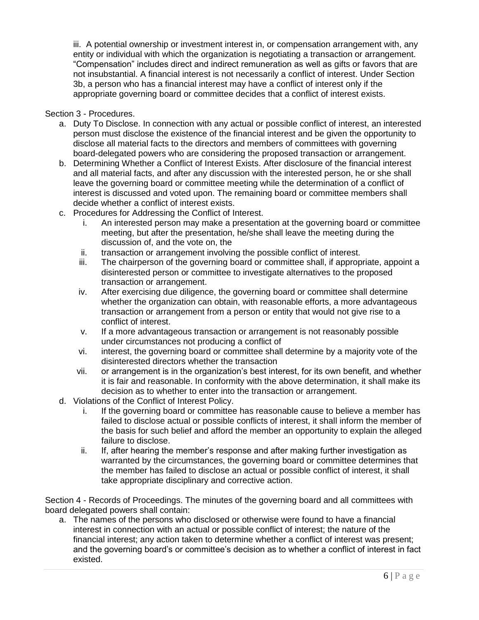iii. A potential ownership or investment interest in, or compensation arrangement with, any entity or individual with which the organization is negotiating a transaction or arrangement. "Compensation" includes direct and indirect remuneration as well as gifts or favors that are not insubstantial. A financial interest is not necessarily a conflict of interest. Under Section 3b, a person who has a financial interest may have a conflict of interest only if the appropriate governing board or committee decides that a conflict of interest exists.

#### Section 3 - Procedures.

- a. Duty To Disclose. In connection with any actual or possible conflict of interest, an interested person must disclose the existence of the financial interest and be given the opportunity to disclose all material facts to the directors and members of committees with governing board-delegated powers who are considering the proposed transaction or arrangement.
- b. Determining Whether a Conflict of Interest Exists. After disclosure of the financial interest and all material facts, and after any discussion with the interested person, he or she shall leave the governing board or committee meeting while the determination of a conflict of interest is discussed and voted upon. The remaining board or committee members shall decide whether a conflict of interest exists.
- c. Procedures for Addressing the Conflict of Interest.
	- i. An interested person may make a presentation at the governing board or committee meeting, but after the presentation, he/she shall leave the meeting during the discussion of, and the vote on, the
	- ii. transaction or arrangement involving the possible conflict of interest.
	- iii. The chairperson of the governing board or committee shall, if appropriate, appoint a disinterested person or committee to investigate alternatives to the proposed transaction or arrangement.
	- iv. After exercising due diligence, the governing board or committee shall determine whether the organization can obtain, with reasonable efforts, a more advantageous transaction or arrangement from a person or entity that would not give rise to a conflict of interest.
	- v. If a more advantageous transaction or arrangement is not reasonably possible under circumstances not producing a conflict of
	- vi. interest, the governing board or committee shall determine by a majority vote of the disinterested directors whether the transaction
	- vii. or arrangement is in the organization's best interest, for its own benefit, and whether it is fair and reasonable. In conformity with the above determination, it shall make its decision as to whether to enter into the transaction or arrangement.
- d. Violations of the Conflict of Interest Policy.
	- i. If the governing board or committee has reasonable cause to believe a member has failed to disclose actual or possible conflicts of interest, it shall inform the member of the basis for such belief and afford the member an opportunity to explain the alleged failure to disclose.
	- ii. If, after hearing the member's response and after making further investigation as warranted by the circumstances, the governing board or committee determines that the member has failed to disclose an actual or possible conflict of interest, it shall take appropriate disciplinary and corrective action.

Section 4 - Records of Proceedings. The minutes of the governing board and all committees with board delegated powers shall contain:

a. The names of the persons who disclosed or otherwise were found to have a financial interest in connection with an actual or possible conflict of interest; the nature of the financial interest; any action taken to determine whether a conflict of interest was present; and the governing board's or committee's decision as to whether a conflict of interest in fact existed.